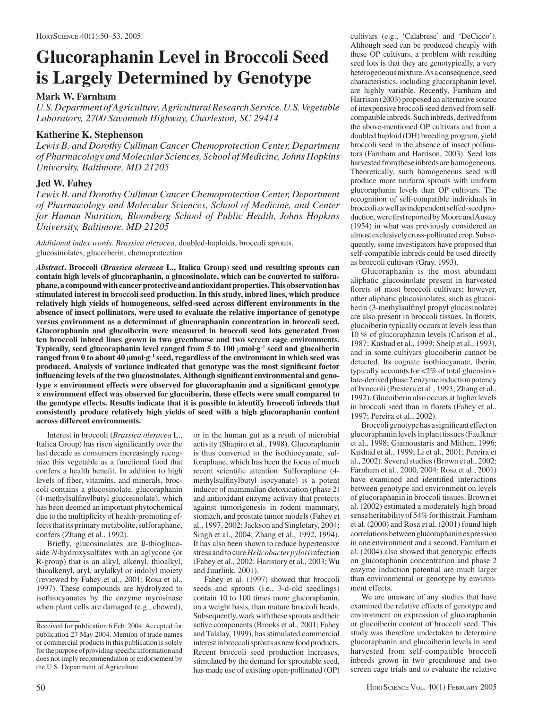# **Glucoraphanin Level in Broccoli Seed is Largely Determined by Genotype**

## **Mark W. Farnham**

*U.S. Department of Agriculture, Agricultural Research Service. U.S. Vegetable Laboratory, 2700 Savannah Highway, Charleston, SC 29414*

### **Katherine K. Stephenson**

*Lewis B. and Dorothy Cullman Cancer Chemoprotection Center, Department of Pharmacology and Molecular Sciences, School of Medicine, Johns Hopkins University, Baltimore, MD 21205*

## **Jed W. Fahey**

*Lewis B. and Dorothy Cullman Cancer Chemoprotection Center, Department of Pharmacology and Molecular Sciences, School of Medicine, and Center for Human Nutrition, Bloomberg School of Public Health, Johns Hopkins University, Baltimore, MD 21205*

*Additional index words*. *Brassica oleracea,* doubled-haploids, broccoli sprouts, glucosinolates, glucoiberin, chemoprotection

*Abstract***. Broccoli (***Brassica oleracea* **L., Italica Group) seed and resulting sprouts can contain high levels of glucoraphanin, a glucosinolate, which can be converted to sulforaphane, a compound with cancer protective and antioxidant properties. This observation has stimulated interest in broccoli seed production. In this study, inbred lines, which produce relatively high yields of homogeneous, selfed-seed across different environments in the absence of insect pollinators, were used to evaluate the relative importance of genotype versus environment as a determinant of glucoraphanin concentration in broccoli seed. Glucoraphanin and glucoiberin were measured in broccoli seed lots generated from ten broccoli inbred lines grown in two greenhouse and two screen cage environments. Typically, seed glucoraphanin level ranged from 5 to 100** µ**mol·g–1 seed and glucoiberin ranged from 0 to about 40** µ**mol·g–1 seed, regardless of the environment in which seed was produced. Analysis of variance indicated that genotype was the most significant factor influencing levels of the two glucosinolates. Although significant environmental and genotype × environment effects were observed for glucoraphanin and a significant genotype × environment effect was observed for glucoiberin, these effects were small compared to the genotype effects. Results indicate that it is possible to identify broccoli inbreds that consistently produce relatively high yields of seed with a high glucoraphanin content across different environments.** 

Interest in broccoli (*Brassica oleracea* L., Italica Group) has risen significantly over the last decade as consumers increasingly recognize this vegetable as a functional food that confers a health benefit. In addition to high levels of fiber, vitamins, and minerals, broccoli contains a glucosinolate, glucoraphanin (4-methylsulfinylbutyl glucosinolate), which has been deemed an important phytochemical due to the multiplicity of health-promoting effects that its primary metabolite, sulforaphane, confers (Zhang et al., 1992).

Briefly, glucosinolates are ß-thioglucoside *N*-hydroxysulfates with an aglycone (or R-group) that is an alkyl, alkenyl, thioalkyl, thioalkenyl, aryl, arylalkyl or indolyl moiety (reviewed by Fahey et al., 2001; Rosa et al., 1997). These compounds are hydrolyzed to isothiocyanates by the enzyme myrosinase when plant cells are damaged (e.g., chewed), or in the human gut as a result of microbial activity (Shapiro et al., 1998). Glucoraphanin is thus converted to the isothiocyanate, sulforaphane, which has been the focus of much recent scientific attention. Sulforaphane (4 methylsulfinylbutyl isocyanate) is a potent inducer of mammalian detoxication (phase 2) and antioxidant enzyme activity that protects against tumorigenesis in rodent mammary, stomach, and prostate tumor models (Fahey et al., 1997, 2002; Jackson and Singletary, 2004; Singh et al., 2004; Zhang et al., 1992, 1994). It has also been shown to reduce hypertensive stress and to cure *Helicobacter pylori* infection (Fahey et al., 2002; Haristory et al., 2003; Wu and Juurlink, 2001).

Fahey et al. (1997) showed that broccoli seeds and sprouts (i.e., 3-d-old seedlings) contain 10 to 100 times more glucoraphanin, on a weight basis, than mature broccoli heads. Subsequently, work with these sprouts and their active components (Brooks et al., 2001; Fahey and Talalay, 1999), has stimulated commercial interest in broccoli sprouts as new food products. Recent broccoli seed production increases, stimulated by the demand for sproutable seed, has made use of existing open-pollinated (OP)

cultivars (e.g., 'Calabrese' and 'DeCicco'). Although seed can be produced cheaply with these OP cultivars, a problem with resulting seed lots is that they are genotypically, a very heterogeneous mixture. As a consequence, seed characteristics, including glucoraphanin level, are highly variable. Recently, Farnham and Harrison (2003) proposed an alternative source of inexpensive broccoli seed derived from selfcompatible inbreds. Such inbreds, derived from the above-mentioned OP cultivars and from a doubled haploid (DH) breeding program, yield broccoli seed in the absence of insect pollinators (Farnham and Harrison, 2003). Seed lots harvested from these inbreds are homogeneous. Theoretically, such homogeneous seed will produce more uniform sprouts with uniform glucoraphanin levels than OP cultivars. The recognition of self-compatible individuals in broccoli as well as independent selfed-seed production, were first reported by Moore and Anstey (1954) in what was previously considered an almost exclusively cross-pollinated crop. Subsequently, some investigators have proposed that self-compatible inbreds could be used directly as broccoli cultivars (Gray, 1993).

Glucoraphanin is the most abundant aliphatic glucosinolate present in harvested florets of most broccoli cultivars; however, other aliphatic glucosinolates, such as glucoiberin (3-methylsulfinyl propyl glucosinolate) are also present in broccoli tissues. In florets, glucoiberin typically occurs at levels less than 10 % of glucoraphanin levels (Carlson et al., 1987; Kushad et al., 1999; Shelp et al., 1993), and in some cultivars glucoiberin cannot be detected. Its cognate isothiocyanate, iberin, typically accounts for <2% of total glucosinolate-derived phase 2 enzyme induction potency of broccoli (Prestera et al., 1993; Zhang et al., 1992). Glucoiberin also occurs at higher levels in broccoli seed than in florets (Fahey et al., 1997; Pereira et al., 2002).

Broccoli genotype has a significant effect on glucoraphanin levels in plant tissues (Faulkner et al., 1998; Giamoustaris and Mithen, 1996; Kushad et al., 1999; Li et al., 2001; Pereira et al., 2002). Several studies (Brown et al., 2002; Farnham et al., 2000, 2004; Rosa et al., 2001) have examined and identified interactions between genotype and environment on levels of glucoraphanin in broccoli tissues. Brown et al. (2002) estimated a moderately high broad sense heritability of 54% for this trait. Farnham et al. (2000) and Rosa et al. (2001) found high correlations between glucoraphanin expression in one environment and a second. Farnham et al. (2004) also showed that genotypic effects on glucoraphanin concentration and phase 2 enzyme induction potential are much larger than environmental or genotype by environment effects.

We are unaware of any studies that have examined the relative effects of genotype and environment on expression of glucoraphanin or glucoiberin content of broccoli seed. This study was therefore undertaken to determine glucoraphanin and glucoiberin levels in seed harvested from self-compatible broccoli inbreds grown in two greenhouse and two screen cage trials and to evaluate the relative

Received for publication 6 Feb. 2004. Accepted for publication 27 May 2004. Mention of trade names or commercial products in this publication is solely for the purpose of providing specific information and does not imply recommendation or endorsement by the U.S. Department of Agriculture.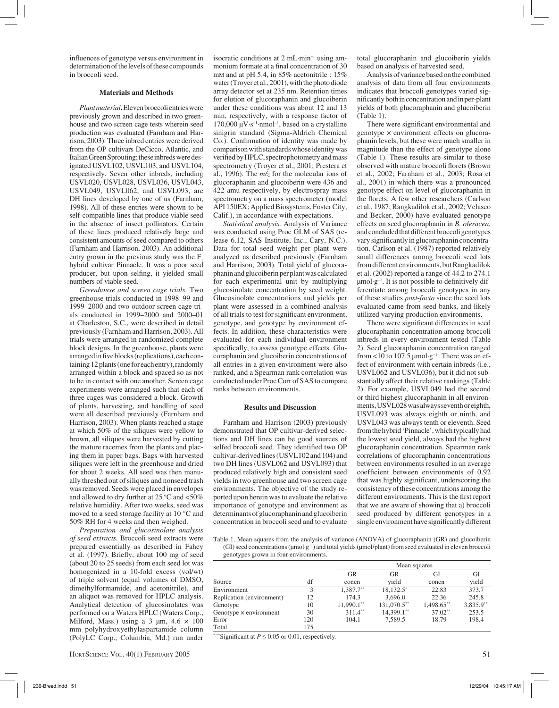influences of genotype versus environment in determination of the levels of these compounds in broccoli seed.

#### **Materials and Methods**

*Plant material***.**Eleven broccoli entries were previously grown and described in two greenhouse and two screen cage tests wherein seed production was evaluated (Farnham and Harrison, 2003). Three inbred entries were derived from the OP cultivars DeCicco, Atlantic, and Italian Green Sprouting; these inbreds were designated USVL102, USVL103, and USVL104, respectively. Seven other inbreds, including USVL020, USVL028, USVL036, USVL043, USVL049, USVL062, and USVL093, are DH lines developed by one of us (Farnham, 1998). All of these entries were shown to be self-compatible lines that produce viable seed in the absence of insect pollinators. Certain of these lines produced relatively large and consistent amounts of seed compared to others (Farnham and Harrison, 2003). An additional entry grown in the previous study was the  $F<sub>1</sub>$ hybrid cultivar Pinnacle. It was a poor seed producer, but upon selfing, it yielded small numbers of viable seed.

*Greenhouse and screen cage trials*. Two greenhouse trials conducted in 1998–99 and 1999–2000 and two outdoor screen cage trials conducted in 1999–2000 and 2000–01 at Charleston, S.C., were described in detail previously (Farnham and Harrison, 2003). All trials were arranged in randomized complete block designs. In the greenhouse, plants were arranged in five blocks (replications), each containing 12 plants (one for each entry), randomly arranged within a block and spaced so as not to be in contact with one another. Screen cage experiments were arranged such that each of three cages was considered a block. Growth of plants, harvesting, and handling of seed were all described previously (Farnham and Harrison, 2003). When plants reached a stage at which 50% of the siliques were yellow to brown, all siliques were harvested by cutting the mature racemes from the plants and placing them in paper bags. Bags with harvested siliques were left in the greenhouse and dried for about 2 weeks. All seed was then manually threshed out of siliques and nonseed trash was removed. Seeds were placed in envelopes and allowed to dry further at  $25^{\circ}$ C and  $< 50\%$ relative humidity. After two weeks, seed was moved to a seed storage facility at 10 °C and 50% RH for 4 weeks and then weighed.

*Preparation and glucosinolate analysis of seed extracts.* Broccoli seed extracts were prepared essentially as described in Fahey et al. (1997). Briefly, about 100 mg of seed (about 20 to 25 seeds) from each seed lot was homogenized in a 10-fold excess (vol/wt) of triple solvent (equal volumes of DMSO, dimethylformamide, and acetonitrile), and an aliquot was removed for HPLC analysis. Analytical detection of glucosinolates was performed on a Waters HPLC (Waters Corp., Milford, Mass.) using a 3  $\mu$ m, 4.6  $\times$  100 mm polyhydroxyethylaspartamide column (PolyLC Corp., Columbia, Md.) run under

HORTSCIENCE VOL. 40(1) FEBRUARY 2005 51

isocratic conditions at 2 mL·min–1 using ammonium formate at a final concentration of 30 mM and at pH 5.4, in 85% acetonitrile : 15% water (Troyer et al., 2001), with the photo diode array detector set at 235 nm. Retention times for elution of glucoraphanin and glucoiberin under these conditions was about 12 and 13 min, respectively, with a response factor of 170,000  $\mu$ V·s<sup>-1</sup>·nmol<sup>-1</sup>, based on a crystalline sinigrin standard (Sigma-Aldrich Chemical Co.). Confirmation of identity was made by comparison with standards whose identity was verified by HPLC, spectrophotometry and mass spectrometry (Troyer et al., 2001; Prestera et al., 1996). The *m/z* for the molecular ions of glucoraphanin and glucoiberin were 436 and 422 amu respectively, by electrospray mass spectrometry on a mass spectrometer (model API 150EX; Applied Biosystems, Foster City, Calif.), in accordance with expectations.

*Statistical analysis.* Analysis of Variance was conducted using Proc GLM of SAS (release 6.12, SAS Institute, Inc., Cary, N.C.). Data for total seed weight per plant were analyzed as described previously (Farnham and Harrison, 2003). Total yield of glucoraphanin and glucoiberin per plant was calculated for each experimental unit by multiplying glucosinolate concentration by seed weight. Glucosinolate concentrations and yields per plant were assessed in a combined analysis of all trials to test for significant environment, genotype, and genotype by environment effects. In addition, these characteristics were evaluated for each individual environment specifically, to assess genotype effects. Glucoraphanin and glucoiberin concentrations of all entries in a given environment were also ranked, and a Spearman rank correlation was conducted under Proc Corr of SAS to compare ranks between environments.

#### **Results and Discussion**

Farnham and Harrison (2003) previously demonstrated that OP cultivar-derived selections and DH lines can be good sources of selfed broccoli seed. They identified two OP cultivar-derived lines (USVL102 and 104) and two DH lines (USVL062 and USVL093) that produced relatively high and consistent seed yields in two greenhouse and two screen cage environments. The objective of the study reported upon herein was to evaluate the relative importance of genotype and environment as determinants of glucoraphanin and glucoiberin concentration in broccoli seed and to evaluate total glucoraphanin and glucoiberin yields based on analysis of harvested seed.

Analysis of variance based on the combined analysis of data from all four environments indicates that broccoli genotypes varied significantly both in concentration and in per-plant yields of both glucoraphanin and glucoiberin (Table 1).

There were significant environmental and genotype × environment effects on glucoraphanin levels, but these were much smaller in magnitude than the effect of genotype alone (Table 1). These results are similar to those observed with mature broccoli florets (Brown et al., 2002; Farnham et al., 2003; Rosa et al., 2001) in which there was a pronounced genotype effect on level of glucoraphanin in the florets. A few other researchers (Carlson et al., 1987; Rangkadilok et al., 2002; Velasco and Becker, 2000) have evaluated genotype effects on seed glucoraphanin in *B. oleracea*, and concluded that different broccoli genotypes vary significantly in glucoraphanin concentration. Carlson et al. (1987) reported relatively small differences among broccoli seed lots from different environments, but Rangkadilok et al. (2002) reported a range of 44.2 to 274.1  $\mu$ mol·g<sup>-1</sup>. It is not possible to definitively differentiate among broccoli genotypes in any of these studies *post-facto* since the seed lots evaluated came from seed banks, and likely utilized varying production environments.

There were significant differences in seed glucoraphanin concentration among broccoli inbreds in every environment tested (Table 2). Seed glucoraphanin concentration ranged from <10 to 107.5  $\mu$ mol·g<sup>-1</sup>. There was an effect of environment with certain inbreds (i.e., USVL062 and USVL036), but it did not substantially affect their relative rankings (Table 2). For example, USVL049 had the second or third highest glucoraphanin in all environments, USVL028 was always seventh or eighth, USVL093 was always eighth or ninth, and USVL043 was always tenth or eleventh. Seed from the hybrid 'Pinnacle', which typically had the lowest seed yield, always had the highest glucoraphanin concentration. Spearman rank correlations of glucoraphanin concentrations between environments resulted in an average coefficient between environments of 0.92 that was highly siginificant, underscoring the consistency of these concentrations among the different environments. This is the first report that we are aware of showing that a) broccoli seed produced by different genotypes in a single environment have significantly different

Table 1. Mean squares from the analysis of variance (ANOVA) of glucoraphanin (GR) and glucoiberin (GI) seed concentrations (µmol·g–1) and total yields (µmol/plant) from seed evaluated in eleven broccoli genotypes grown in four environments.

|                               |     |              | Mean squares |            |             |  |  |  |
|-------------------------------|-----|--------------|--------------|------------|-------------|--|--|--|
|                               |     | <b>GR</b>    | GR           | GI         | GI          |  |  |  |
| Source                        | df  | concn        | vield        | concn      | yield       |  |  |  |
| Environment                   |     | $1,387.7**$  | 18,132.5*    | 22.83      | 373.7       |  |  |  |
| Replication (environment)     | 12  | 174.3        | 3.696.0      | 22.36      | 245.8       |  |  |  |
| Genotype                      | 10  | $11.990.1**$ | 131,070.5**  | 1,498.65** | $3,835.9**$ |  |  |  |
| Genotype $\times$ environment | 30  | $311.4**$    | 14,399.1**   | $37.02**$  | 253.5       |  |  |  |
| Error                         | 120 | 104.1        | 7.589.5      | 18.79      | 198.4       |  |  |  |
| Total                         | 175 |              |              |            |             |  |  |  |

\*,\*\*Significant at *P* ≤ 0.05 or 0.01, respectively.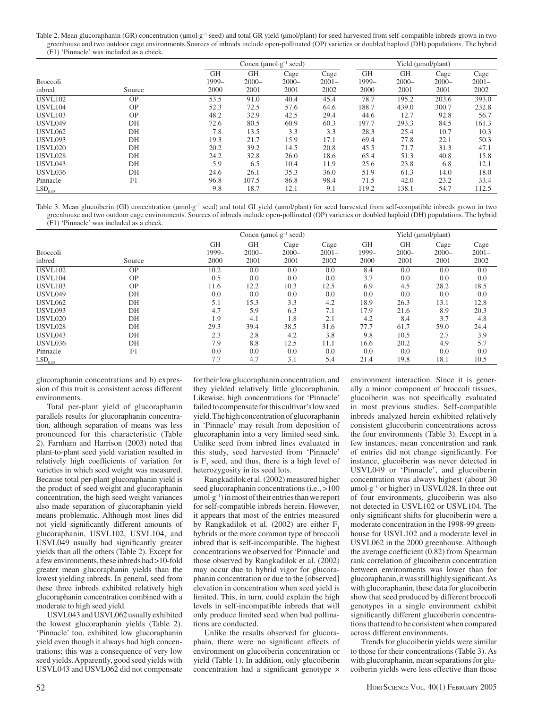Table 2. Mean glucoraphanin (GR) concentration (µmol·g<sup>-1</sup> seed) and total GR yield (µmol/plant) for seed harvested from self-compatible inbreds grown in two greenhouse and two outdoor cage environments.Sources of inbreds include open-pollinated (OP) varieties or doubled haploid (DH) populations. The hybrid (F1) 'Pinnacle' was included as a check.

|                       |           | Concn ( $\mu$ mol·g <sup>-1</sup> seed) |          |          | Yield (µmol/plant) |           |           |          |          |
|-----------------------|-----------|-----------------------------------------|----------|----------|--------------------|-----------|-----------|----------|----------|
|                       |           | <b>GH</b>                               | GH       | Cage     | Cage               | <b>GH</b> | <b>GH</b> | Cage     | Cage     |
| <b>Broccoli</b>       |           | 1999-                                   | $2000 -$ | $2000 -$ | $2001 -$           | 1999-     | $2000 -$  | $2000 -$ | $2001 -$ |
| inbred                | Source    | 2000                                    | 2001     | 2001     | 2002               | 2000      | 2001      | 2001     | 2002     |
| <b>USVL102</b>        | <b>OP</b> | 53.5                                    | 91.0     | 40.4     | 45.4               | 78.7      | 195.2     | 203.6    | 393.0    |
| <b>USVL104</b>        | <b>OP</b> | 52.3                                    | 72.5     | 57.6     | 64.6               | 188.7     | 439.0     | 300.7    | 232.8    |
| <b>USVL103</b>        | <b>OP</b> | 48.2                                    | 32.9     | 42.5     | 29.4               | 44.6      | 12.7      | 92.8     | 56.7     |
| <b>USVL049</b>        | DH        | 72.6                                    | 80.5     | 60.9     | 60.3               | 197.7     | 293.3     | 84.5     | 161.3    |
| <b>USVL062</b>        | DH        | 7.8                                     | 13.5     | 3.3      | 3.3                | 28.3      | 25.4      | 10.7     | 10.3     |
| <b>USVL093</b>        | DH        | 19.3                                    | 21.7     | 15.9     | 17.1               | 69.4      | 77.8      | 22.1     | 50.3     |
| <b>USVL020</b>        | DH        | 20.2                                    | 39.2     | 14.5     | 20.8               | 45.5      | 71.7      | 31.3     | 47.1     |
| <b>USVL028</b>        | DH        | 24.2                                    | 32.8     | 26.0     | 18.6               | 65.4      | 51.3      | 40.8     | 15.8     |
| USVL043               | DH        | 5.9                                     | 6.5      | 10.4     | 11.9               | 25.6      | 23.8      | 6.8      | 12.1     |
| USVL036               | DH        | 24.6                                    | 26.1     | 35.3     | 36.0               | 51.9      | 61.3      | 14.0     | 18.0     |
| Pinnacle              | F1        | 96.8                                    | 107.5    | 86.8     | 98.4               | 71.5      | 42.0      | 23.2     | 33.4     |
| $LSD$ <sub>0.05</sub> |           | 9.8                                     | 18.7     | 12.1     | 9.1                | 119.2     | 138.1     | 54.7     | 112.5    |

Table 3. Mean glucoiberin (GI) concentration (µmol·g<sup>-1</sup> seed) and total GI yield (µmol/plant) for seed harvested from self-compatible inbreds grown in two greenhouse and two outdoor cage environments. Sources of inbreds include open-pollinated (OP) varieties or doubled haploid (DH) populations. The hybrid (F1) 'Pinnacle' was included as a check.

|                       |           |                    | Concn ( $\mu$ mol·g <sup>-1</sup> seed) |                  |                  | Yield (µmol/plant) |                       |                  |                  |
|-----------------------|-----------|--------------------|-----------------------------------------|------------------|------------------|--------------------|-----------------------|------------------|------------------|
| <b>Broccoli</b>       |           | <b>GH</b><br>1999- | GH<br>$2000 -$                          | Cage<br>$2000 -$ | Cage<br>$2001 -$ | <b>GH</b><br>1999- | <b>GH</b><br>$2000 -$ | Cage<br>$2000 -$ | Cage<br>$2001 -$ |
| inbred                | Source    | 2000               | 2001                                    | 2001             | 2002             | 2000               | 2001                  | 2001             | 2002             |
| <b>USVL102</b>        | <b>OP</b> | 10.2               | 0.0                                     | 0.0              | 0.0              | 8.4                | 0.0                   | 0.0              | 0.0              |
| <b>USVL104</b>        | <b>OP</b> | 0.5                | 0.0                                     | 0.0              | 0.0              | 3.7                | 0.0                   | 0.0              | 0.0              |
| <b>USVL103</b>        | <b>OP</b> | 11.6               | 12.2                                    | 10.3             | 12.5             | 6.9                | 4.5                   | 28.2             | 18.5             |
| <b>USVL049</b>        | DH        | 0.0                | 0.0                                     | 0.0              | 0.0              | 0.0                | 0.0                   | 0.0              | 0.0              |
| <b>USVL062</b>        | DH        | 5.1                | 15.3                                    | 3.3              | 4.2              | 18.9               | 26.3                  | 13.1             | 12.8             |
| <b>USVL093</b>        | DH        | 4.7                | 5.9                                     | 6.3              | 7.1              | 17.9               | 21.6                  | 8.9              | 20.3             |
| <b>USVL020</b>        | DH        | 1.9                | 4.1                                     | 1.8              | 2.1              | 4.2                | 8.4                   | 3.7              | 4.8              |
| <b>USVL028</b>        | DH        | 29.3               | 39.4                                    | 38.5             | 31.6             | 77.7               | 61.7                  | 59.0             | 24.4             |
| <b>USVL043</b>        | DH        | 2.3                | 2.8                                     | 4.2              | 3.8              | 9.8                | 10.5                  | 2.7              | 3.9              |
| <b>USVL036</b>        | DH        | 7.9                | 8.8                                     | 12.5             | 11.1             | 16.6               | 20.2                  | 4.9              | 5.7              |
| Pinnacle              | F1        | 0.0                | 0.0                                     | 0.0              | 0.0              | 0.0                | 0.0                   | 0.0              | 0.0              |
| $LSD$ <sub>0.05</sub> |           | 7.7                | 4.7                                     | 3.1              | 5.4              | 21.4               | 19.8                  | 18.1             | 10.5             |

glucoraphanin concentrations and b) expression of this trait is consistent across different environments.

Total per-plant yield of glucoraphanin parallels results for glucoraphanin concentration, although separation of means was less pronounced for this characteristic (Table 2). Farnham and Harrison (2003) noted that plant-to-plant seed yield variation resulted in relatively high coefficients of variation for varieties in which seed weight was measured. Because total per-plant glucoraphanin yield is the product of seed weight and glucoraphanin concentration, the high seed weight variances also made separation of glucoraphanin yield means problematic. Although most lines did not yield significantly different amounts of glucoraphanin, USVL102, USVL104, and USVL049 usually had significantly greater yields than all the others (Table 2). Except for a few environments, these inbreds had >10-fold greater mean glucoraphanin yields than the lowest yielding inbreds. In general, seed from these three inbreds exhibited relatively high glucoraphanin concentration combined with a moderate to high seed yield.

USVL043 and USVL062 usually exhibited the lowest glucoraphanin yields (Table 2). 'Pinnacle' too, exhibited low glucoraphanin yield even though it always had high concentrations; this was a consequence of very low seed yields. Apparently, good seed yields with USVL043 and USVL062 did not compensate for their low glucoraphanin concentration, and they yielded relatively little glucoraphanin. Likewise, high concentrations for 'Pinnacle' failed to compensate for this cultivar's low seed yield. The high concentration of glucoraphanin in 'Pinnacle' may result from deposition of glucoraphanin into a very limited seed sink. Unlike seed from inbred lines evaluated in this study, seed harvested from 'Pinnacle' is  $F_2$  seed, and thus, there is a high level of heterozygosity in its seed lots.

Rangkadilok et al. (2002) measured higher seed glucoraphanin concentrations (i.e., >100  $\mu$ mol·g<sup>-1</sup>) in most of their entries than we report for self-compatible inbreds herein. However, it appears that most of the entries measured by Rangkadilok et al. (2002) are either  $F_1$ hybrids or the more common type of broccoli inbred that is self-incompatible. The highest concentrations we observed for 'Pinnacle' and those observed by Rangkadilok et al. (2002) may occur due to hybrid vigor for glucoraphanin concentration or due to the [observed] elevation in concentration when seed yield is limited. This, in turn, could explain the high levels in self-incompatible inbreds that will only produce limited seed when bud pollinations are conducted.

Unlike the results observed for glucoraphain, there were no significant effects of environment on glucoiberin concentration or yield (Table 1). In addition, only glucoiberin concentration had a significant genotype ×

environment interaction. Since it is generally a minor component of broccoli tissues, glucoiberin was not specifically evaluated in most previous studies. Self-compatible inbreds analyzed herein exhibited relatively consistent glucoiberin concentrations across the four environments (Table 3). Except in a few instances, mean concentration and rank of entries did not change significantly. For instance, glucoiberin was never detected in USVL049 or 'Pinnacle', and glucoiberin concentration was always highest (about 30  $\mu$ mol·g<sup>-1</sup> or higher) in USVL028. In three out of four environments, glucoiberin was also not detected in USVL102 or USVL104. The only significant shifts for glucoiberin were a moderate concentration in the 1998-99 greenhouse for USVL102 and a moderate level in USVL062 in the 2000 greenhouse. Although the average coefficient (0.82) from Spearman rank correlation of glucoiberin concentration between environments was lower than for glucoraphanin, it was still highly significant. As with glucoraphanin, these data for glucoiberin show that seed produced by different broccoli genotypes in a single environment exhibit significantly different glucoiberin concentrations that tend to be consistent when compared across different environments.

Trends for glucoiberin yields were similar to those for their concentrations (Table 3). As with glucoraphanin, mean separations for glucoiberin yields were less effective than those